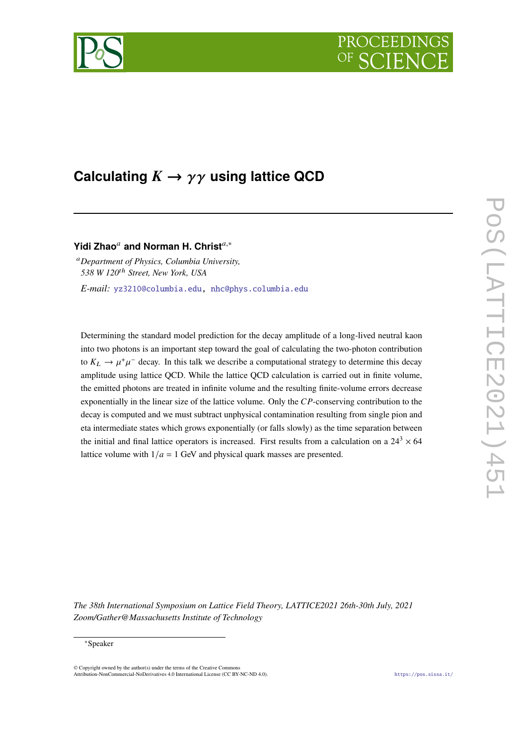



# Calculating  $K \to \gamma \gamma$  using lattice QCD

# **Yidi Zhao**<sup>*a*</sup> and Norman H. Christ<sup>*a*,\*</sup>

*Department of Physics, Columbia University, 538 W 120ℎ Street, New York, USA*

*E-mail:* [yz3210@columbia.edu,](mailto:yz3210@columbia.edu) [nhc@phys.columbia.edu](mailto:nhc@phys.columbia.edu)

Determining the standard model prediction for the decay amplitude of a long-lived neutral kaon into two photons is an important step toward the goal of calculating the two-photon contribution to  $K_L \rightarrow \mu^+\mu^-$  decay. In this talk we describe a computational strategy to determine this decay amplitude using lattice QCD. While the lattice QCD calculation is carried out in finite volume, the emitted photons are treated in infinite volume and the resulting finite-volume errors decrease exponentially in the linear size of the lattice volume. Only the  $CP$ -conserving contribution to the decay is computed and we must subtract unphysical contamination resulting from single pion and eta intermediate states which grows exponentially (or falls slowly) as the time separation between the initial and final lattice operators is increased. First results from a calculation on a  $24^3 \times 64$ lattice volume with  $1/a = 1$  GeV and physical quark masses are presented.

*The 38th International Symposium on Lattice Field Theory, LATTICE2021 26th-30th July, 2021 Zoom/Gather@Massachusetts Institute of Technology*

#### ∗Speaker

 $\odot$  Copyright owned by the author(s) under the terms of the Creative Common Attribution-NonCommercial-NoDerivatives 4.0 International License (CC BY-NC-ND 4.0). <https://pos.sissa.it/>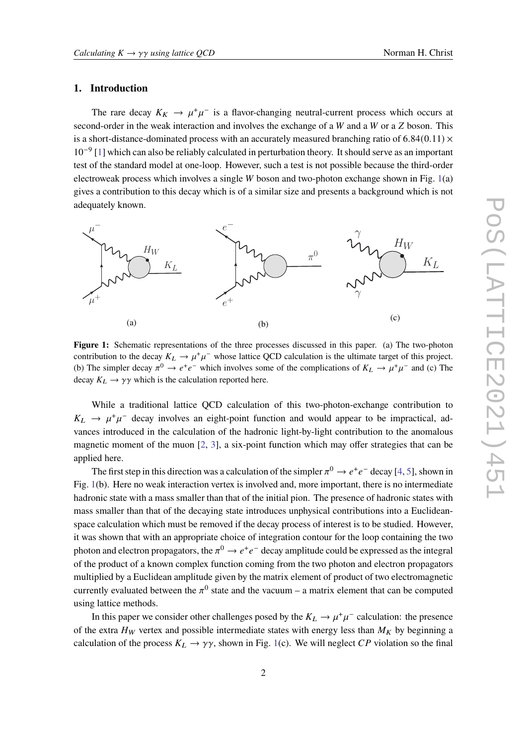# **1. Introduction**

The rare decay  $K_K \to \mu^+\mu^-$  is a flavor-changing neutral-current process which occurs at  $\mu^+ \to \mu^+ \mu^-$  is a flavor-changing neutral-current process which occurs at second-order in the weak interaction and involves the exchange of a  $W$  and a  $W$  or a  $Z$  boson. This is a short-distance-dominated process with an accurately measured branching ratio of  $6.84(0.11)$  ×  $10^{-9}$  [\[1\]](#page-9-0) which can also be reliably calculated in perturbation theory. It should serve as an important in  $10^{-9}$ test of the standard model at one-loop. However, such a test is not possible because the third-order electroweak process which involves a single  $W$  boson and two-photon exchange shown in Fig. [1\(](#page-1-0)a) gives a contribution to this decay which is of a similar size and presents a background which is not adequately known.

<span id="page-1-0"></span>

**Figure 1:** Schematic representations of the three processes discussed in this paper. (a) The two-photon (b) The simpler decay  $\pi^0 \to e^+e^-$  which involves some of the complications of  $K_L \to \mu^+\mu^-$  and (c) The contribution to the decay  $K_L \to \mu^+\mu^-$  whose lattice QCD calculation is the ultimate target of this project. decay  $K_L \rightarrow \gamma \gamma$  which is the calculation reported here.

While a traditional lattice QCD calculation of this two-photon-exchange contribution to magnetic moment of the muon  $[2, 3]$  $[2, 3]$  $[2, 3]$  $[2, 3]$ , a six-point function which may offer strategies that can be vances introduced in the calculation of the hadronic light-by-light contribution to the anomalous  $K_L \rightarrow \mu^+\mu^-$  decay involves an eight-point function and would appear to be impractical, adapplied here.

The first step in this direction was a calculation of the simpler  $\pi^0 \to e^+e^-$  decay [\[4,](#page-9-3) [5\]](#page-9-4), shown in Fig. [1](#page-1-0)(b). Here no weak interaction vertex is involved and, more important, there is no intermediate hadronic state with a mass smaller than that of the initial pion. The presence of hadronic states with mass smaller than that of the decaying state introduces unphysical contributions into a Euclideanspace calculation which must be removed if the decay process of interest is to be studied. However, it was shown that with an appropriate choice of integration contour for the loop containing the two photon and electron propagators, the  $\pi^0 \to e^+e^-$  decay amplitude could be expressed as the integral of the product of a known complex function coming from the two photon and electron propagators multiplied by a Euclidean amplitude given by the matrix element of product of two electromagnetic currently evaluated between the  $\pi^0$  state and the vacuum – a matrix element that can be computed using lattice methods.

In this paper we consider other challenges posed by the  $K_L \to \mu^+\mu^-$  calculation: the presence of the extra  $H_W$  vertex and possible intermediate states with energy less than  $M_K$  by beginning a calculation of the process  $K_L \rightarrow \gamma \gamma$ , shown in Fig. [1](#page-1-0)(c). We will neglect CP violation so the final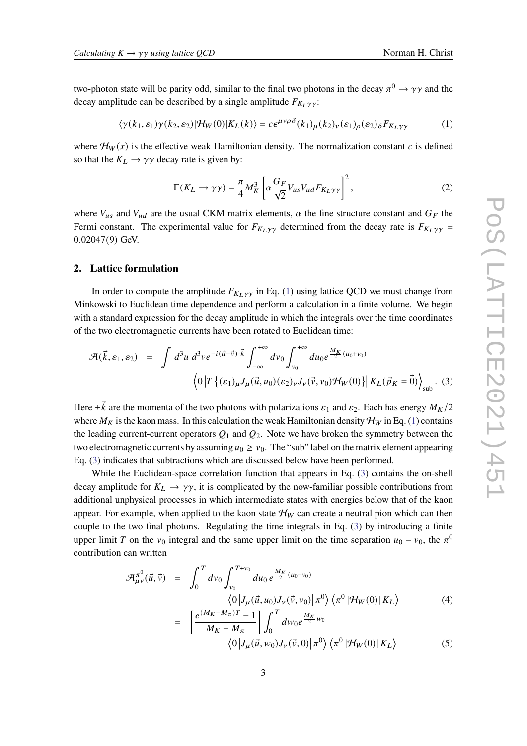two-photon state will be parity odd, similar to the final two photons in the decay  $\pi^0 \to \gamma \gamma$  and the decay amplitude can be described by a single amplitude  $F_{K_1}$   $\gamma$ .

<span id="page-2-0"></span>
$$
\langle \gamma(k_1, \varepsilon_1) \gamma(k_2, \varepsilon_2) | \mathcal{H}_W(0) | K_L(k) \rangle = c \epsilon^{\mu \nu \rho \delta}(k_1)_{\mu}(k_2)_{\nu}(\varepsilon_1)_{\rho}(\varepsilon_2)_{\delta} F_{K_L \gamma \gamma} \tag{1}
$$

where  $\mathcal{H}_W(x)$  is the effective weak Hamiltonian density. The normalization constant c is defined so that the  $K_L \rightarrow \gamma \gamma$  decay rate is given by:

$$
\Gamma(K_L \to \gamma \gamma) = \frac{\pi}{4} M_K^3 \left[ \alpha \frac{G_F}{\sqrt{2}} V_{us} V_{ud} F_{K_L \gamma \gamma} \right]^2, \tag{2}
$$

where  $V_{us}$  and  $V_{ud}$  are the usual CKM matrix elements,  $\alpha$  the fine structure constant and  $G_F$  the Fermi constant. The experimental value for  $F_{K_L \gamma \gamma}$  determined from the decay rate is  $F_{K_L \gamma \gamma}$  = 0*.*02047(9) GeV.

#### **2. Lattice formulation**

In order to compute the amplitude  $F_{K_L, \gamma \gamma}$  in Eq. ([1](#page-2-0)) using lattice QCD we must change from Minkowski to Euclidean time dependence and perform a calculation in a finite volume. We begin with a standard expression for the decay amplitude in which the integrals over the time coordinates of the two electromagnetic currents have been rotated to Euclidean time:

<span id="page-2-1"></span>
$$
\mathcal{A}(\vec{k}, \varepsilon_1, \varepsilon_2) = \int d^3 u \, d^3 v e^{-i(\vec{u} - \vec{v}) \cdot \vec{k}} \int_{-\infty}^{+\infty} dv_0 \int_{v_0}^{+\infty} du_0 e^{\frac{M_K}{2}(u_0 + v_0)} \left\langle 0 \left| T \left\{ (\varepsilon_1)_{\mu} J_{\mu}(\vec{u}, u_0) (\varepsilon_2)_{\nu} J_{\nu}(\vec{v}, v_0) \mathcal{H}_W(0) \right\} \right| K_L(\vec{p}_K = \vec{0}) \right\rangle_{\text{sub}}. (3)
$$

Here  $\pm \vec{k}$  are the momenta of the two photons with polarizations  $\varepsilon_1$  and  $\varepsilon_2$ . Each has energy  $M_K/2$ where  $M_K$  is the kaon mass. In this calculation the weak Hamiltonian density  $\mathcal{H}_W$  in Eq. ([1](#page-2-0)) contains the leading current-current operators  $Q_1$  and  $Q_2$ . Note we have broken the symmetry between the two electromagnetic currents by assuming  $u_0 \ge v_0$ . The "sub" label on the matrix element appearing Eq. ([3](#page-2-1)) indicates that subtractions which are discussed below have been performed.

While the Euclidean-space correlation function that appears in Eq. [\(3\)](#page-2-1) contains the on-shell decay amplitude for  $K_L \rightarrow \gamma \gamma$ , it is complicated by the now-familiar possible contributions from additional unphysical processes in which intermediate states with energies below that of the kaon appear. For example, when applied to the kaon state  $\mathcal{H}_W$  can create a neutral pion which can then couple to the two final photons. Regulating the time integrals in Eq. ([3](#page-2-1)) by introducing a finite upper limit T on the  $v_0$  integral and the same upper limit on the time separation  $u_0 - v_0$ , the  $\pi^0$ contribution can written

<span id="page-2-2"></span>
$$
\mathcal{A}_{\mu\nu}^{\pi^0}(\vec{u}, \vec{v}) = \int_0^T d\nu_0 \int_{\nu_0}^{T+\nu_0} du_0 e^{\frac{M_K}{2}(u_0 + \nu_0)} \langle 0 | J_\mu(\vec{u}, u_0) J_\nu(\vec{v}, \nu_0) | \pi^0 \rangle \langle \pi^0 | \mathcal{H}_W(0) | K_L \rangle \tag{4}
$$

$$
= \left[\frac{e^{(M_K - M_\pi)T} - 1}{M_K - M_\pi}\right] \int_0^T dw_0 e^{\frac{M_K}{2}w_0} \langle 0|J_\mu(\vec{u}, w_0)J_\nu(\vec{v}, 0)|\pi^0\rangle \langle \pi^0| \mathcal{H}_W(0)|K_L\rangle \tag{5}
$$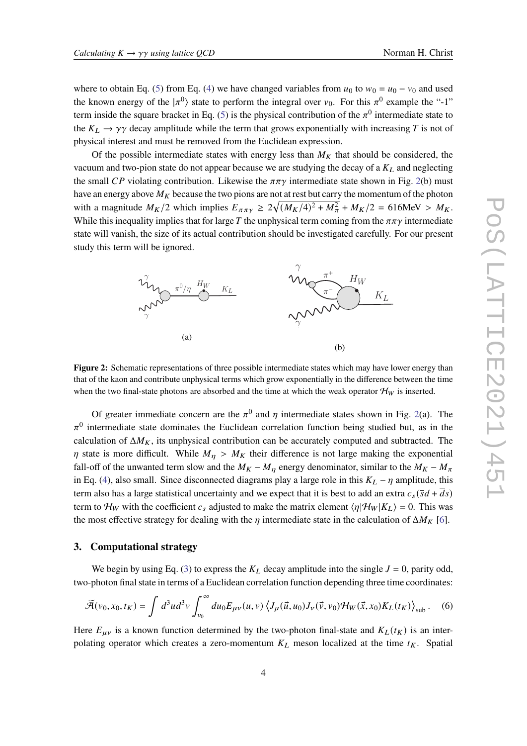where to obtain Eq. ([5](#page-2-2)) from Eq. [\(4\)](#page-2-2) we have changed variables from  $u_0$  to  $w_0 = u_0 - v_0$  and used the known energy of the  $|\pi^0\rangle$  state to perform the integral over  $v_0$ . For this  $\pi^0$  example the "-1" term inside the square bracket in Eq. [\(5\)](#page-2-2) is the physical contribution of the  $\pi^0$  intermediate state to the  $K_L \rightarrow \gamma \gamma$  decay amplitude while the term that grows exponentially with increasing T is not of physical interest and must be removed from the Euclidean expression. <sub>i</sub>ca

Of the possible intermediate states with energy less than  $M_K$  that should be considered, the vacuum and two-pion state do not appear because we are studying the decay of a  $K_L$  and neglecting the small *CP* violating contribution. Likewise the  $\pi \pi \gamma$  intermediate state shown in Fig. [2](#page-3-0)(b) must have an energy above  $M_K$  because the two pions are not at rest but carry the momentum of the photon with a magnitude  $M_K/2$  which implies  $E_{\pi \pi \gamma} \ge 2\sqrt{(M_K/4)^2 + M_\pi^2} + M_K/2 = 616$ MeV >  $M_K$ . While this inequality implies that for large T the unphysical term coming from the  $\pi\pi\gamma$  intermediate state will vanish, the size of its actual contribution should be investigated carefully. For our present study this term will be ignored.  $\frac{1}{2}$ 

<span id="page-3-0"></span>

that of the kaon and contribute unphysical terms which grow exponentially in the difference between the time **Figure 2:** Schematic representations of three possible intermediate states which may have lower energy than when the two final-state photons are absorbed and the time at which the weak operator  $\mathcal{H}_W$  is inserted.

Of greater immediate concern are the  $\pi^0$  and  $\eta$  intermediate states shown in Fig. [2\(](#page-3-0)a). The  $\pi^0$  intermediate state dominates the Euclidean correlation function being studied but, as in the calculation of  $\Delta M_K$ , its unphysical contribution can be accurately computed and subtracted. The  $\eta$  state is more difficult. While  $M_{\eta} > M_K$  their difference is not large making the exponential fall-off of the unwanted term slow and the  $M_K - M_\eta$  energy denominator, similar to the  $M_K - M_\pi$ in Eq. ([4](#page-2-2)), also small. Since disconnected diagrams play a large role in this  $K_L - \eta$  amplitude, this term also has a large statistical uncertainty and we expect that it is best to add an extra  $c_s(\bar{s}d + \bar{d}s)$ term to  $\mathcal{H}_W$  with the coefficient  $c_s$  adjusted to make the matrix element  $\langle \eta | \mathcal{H}_W | K_L \rangle = 0$ . This was the most effective strategy for dealing with the  $\eta$  intermediate state in the calculation of  $\Delta M_K$  [[6](#page-9-5)].

# **3. Computational strategy**

We begin by using Eq. ([3](#page-2-1)) to express the  $K_L$  decay amplitude into the single  $J = 0$ , parity odd, two-photon final state in terms of a Euclidean correlation function depending three time coordinates:

<span id="page-3-1"></span>
$$
\widetilde{\mathcal{A}}(\nu_0, x_0, t_K) = \int d^3u d^3v \int_{\nu_0}^{\infty} du_0 E_{\mu\nu}(u, v) \left\langle J_\mu(\vec{u}, u_0) J_\nu(\vec{v}, v_0) \mathcal{H}_W(\vec{x}, x_0) K_L(t_K) \right\rangle_{\text{sub}}.
$$
 (6)

Here  $E_{\mu\nu}$  is a known function determined by the two-photon final-state and  $K_L(t_K)$  is an interpolating operator which creates a zero-momentum  $K_L$  meson localized at the time  $t_K$ . Spatial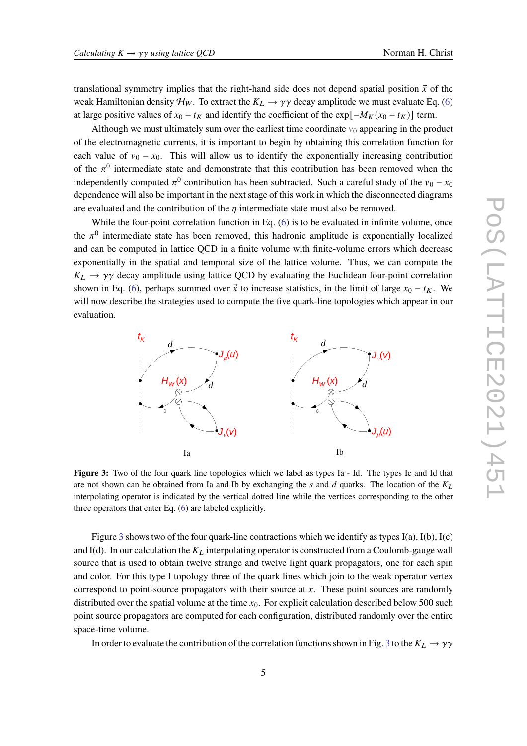translational symmetry implies that the right-hand side does not depend spatial position  $\vec{x}$  of the weak Hamiltonian density  $\mathcal{H}_W$ . To extract the  $K_L \rightarrow \gamma \gamma$  decay amplitude we must evaluate Eq. ([6](#page-3-1)) at large positive values of  $x_0 - t_K$  and identify the coefficient of the exp[ $-M_K(x_0 - t_K)$ ] term.

Although we must ultimately sum over the earliest time coordinate  $v_0$  appearing in the product of the electromagnetic currents, it is important to begin by obtaining this correlation function for each value of  $v_0 - x_0$ . This will allow us to identify the exponentially increasing contribution of the  $\pi^0$  intermediate state and demonstrate that this contribution has been removed when the independently computed  $\pi^0$  contribution has been subtracted. Such a careful study of the  $v_0 - x_0$ dependence will also be important in the next stage of this work in which the disconnected diagrams are evaluated and the contribution of the  $\eta$  intermediate state must also be removed.

While the four-point correlation function in Eq. ([6](#page-3-1)) is to be evaluated in infinite volume, once the  $\pi^0$  intermediate state has been removed, this hadronic amplitude is exponentially localized and can be computed in lattice QCD in a finite volume with finite-volume errors which decrease and can be computed in lattice QCD in a finite volume with finite-volume errors which decrease<br>exponentially in the spatial and temporal size of the lattice volume. Thus, we can compute the  $K_L \rightarrow \gamma \gamma$  decay amplitude using lattice QCD by evaluating the Euclidean four-point correlation shown in Eq. [\(6\)](#page-3-1), perhaps summed over  $\vec{x}$  to increase statistics, in the limit of large  $x_0 - t_K$ . We will now describe the strategies used to compute the five quark-line topologies which appear in our evaluation.

<span id="page-4-0"></span>

Figure 3: Two of the four quark line topologies which we label as types Ia - Id. The types Ic and Id that are not shown can be obtained from Ia and Ib by exchanging the s and d quarks. The location of the  $K_L$ interpolating operator is indicated by the vertical dotted line while the vertices corresponding to the other three operators that enter Eq. ([6](#page-3-1)) are labeled explicitly.

Figure [3](#page-4-0) shows two of the four quark-line contractions which we identify as types I(a), I(b), I(c) and I(d). In our calculation the  $K_L$  interpolating operator is constructed from a Coulomb-gauge wall source that is used to obtain twelve strange and twelve light quark propagators, one for each spin and color. For this type I topology three of the quark lines which join to the weak operator vertex correspond to point-source propagators with their source at  $x$ . These point sources are randomly distributed over the spatial volume at the time  $x_0$ . For explicit calculation described below 500 such point source propagators are computed for each configuration, distributed randomly over the entire space-time volume.

In order to evaluate the contribution of the correlation functions shown in Fig. [3](#page-4-0) to the  $K_L \rightarrow \gamma \gamma$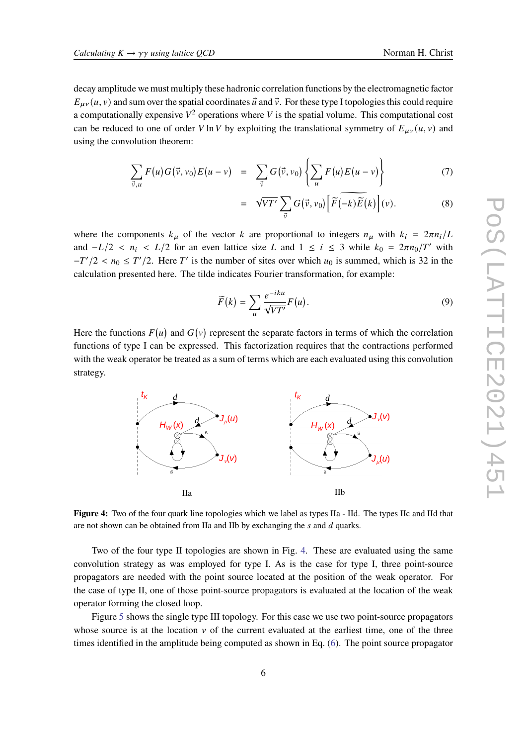decay amplitude we must multiply these hadronic correlation functions by the electromagnetic factor  $E_{\mu\nu}(u, v)$  and sum over the spatial coordinates  $\vec{u}$  and  $\vec{v}$ . For these type I topologies this could require a computationally expensive  $V^2$  operations where V is the spatial volume. This computational cost can be reduced to one of order V ln V by exploiting the translational symmetry of  $E_{\mu\nu}(u, v)$  and using the convolution theorem:

$$
\sum_{\vec{v},u} F(u)G(\vec{v},v_0)E(u-v) = \sum_{\vec{v}} G(\vec{v},v_0) \left\{ \sum_{u} F(u)E(u-v) \right\} \tag{7}
$$

$$
= \sqrt{VT'} \sum_{\vec{v}} G(\vec{v}, v_0) \Big[ \widetilde{F}(-k) \widetilde{E}(k) \Big] (v).
$$
 (8)

where the components  $k_{\mu}$  of the vector k are proportional to integers  $n_{\mu}$  with  $k_i = 2\pi n_i/L$ and  $-L/2 < n_i < L/2$  for an even lattice size L and  $1 \le i \le 3$  while  $k_0 = 2\pi n_0/T'$  with  $-T'/2 < n_0 \leq T'/2$ . Here T' is the number of sites over which  $u_0$  is summed, which is 32 in the calculation presented here. The tilde indicates Fourier transformation, for example:

$$
\widetilde{F}(k) = \sum_{u} \frac{e^{-iku}}{\sqrt{VT'}} F(u).
$$
\n(9)

Here the functions  $F(u)$  and  $G(v)$  represent the separate factors in terms of which the correlation functions of type I can be expressed. This factorization requires that the contractions performed with the weak operator be treated as a sum of terms which are each evaluated using this convolution strategy.

<span id="page-5-0"></span>

Figure 4: Two of the four quark line topologies which we label as types IIa - IId. The types IIc and IId that are not shown can be obtained from IIa and IIb by exchanging the  $s$  and  $d$  quarks.

convolution strategy as was employed for type I. As is the case for type I, three point-source propagators are needed with the point source located at the position of the weak operator. For Two of the four type II topologies are shown in Fig. [4](#page-5-0). These are evaluated using the same the case of type II, one of those point-source propagators is evaluated at the location of the weak operator forming the closed loop.

Figure [5](#page-6-0) shows the single type III topology. For this case we use two point-source propagators whose source is at the location  $\nu$  of the current evaluated at the earliest time, one of the three times identified in the amplitude being computed as shown in Eq. ([6](#page-3-1)). The point source propagator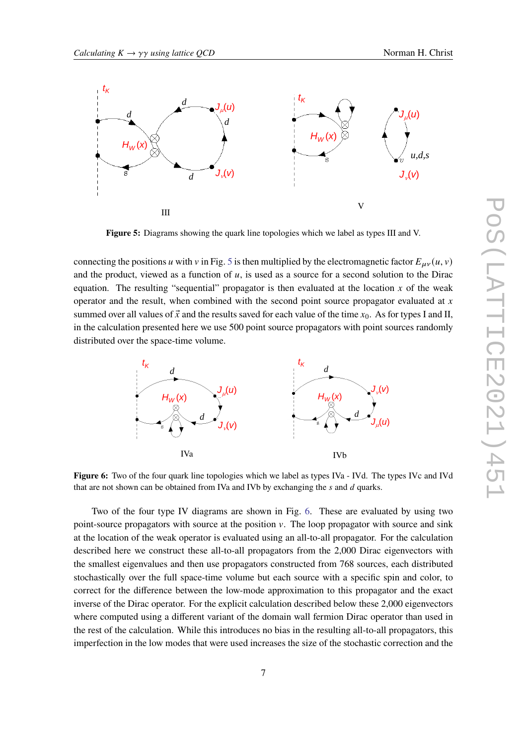<span id="page-6-0"></span>

**E**<sup>t</sup> and source the single source source in the sequence of  $\mathbf{F}$ **Figure 5:** Diagrams showing the quark line topologies which we label as types III and V.

and the product, viewed as a function of u, is used as a source for a second solution to the Dirac<br>equation. The resulting "sequential" propagator is then evaluated at the location x of the weak summed over all values of  $\vec{x}$  and the results saved for each value of the time  $x_0$ . As for types I and II, connecting the positions u with v in Fig. 5 is then multiplied b[y](#page-6-0) the electromagnetic factor  $E_{\mu\nu}(u, v)$ <br>and the product viewed as a function of u is used as a source for a second solution to the Dirac equation. The resulting sequential propagator is then evaluated at the location x of the weak<br>operator and the result, when combined with the second point source propagator evaluated at x summed over an values of x and the results saved for each value of the time  $x_0$ . As for types I and II, in the calculation presented here we use 500 point source propagators with point sources randomly connecting the positions u with v in Fig. 5 is then multiplied by the electromagnetic factor  $E_{\mu\nu}(u, v)$  and the product, viewed as a function of u, is used as a source for a second solution to the Dirac distributed over the space-time volume.

<span id="page-6-1"></span>

**Figure 6:** Two of the four quark line topologies which we label as types IVa - IVd. The types IVc and IVd that are not shown can be obtained from IVa and IVb by exchanging the  $s$  and  $d$  quarks.

 $\alpha$  is evaluated using an an-w-an **Two** at the location of the weak operator is evaluated using an all-to-all propagator. For the calculation Two of the four type IV diagrams are shown in Fig. [6](#page-6-1). These are evaluated by using two point-source propagators with source at the position  $\nu$ . The loop propagator with source and sink described here we construct these all-to-all propagators from the 2,000 Dirac eigenvectors with the smallest eigenvalues and then use propagators constructed from 768 sources, each distributed stochastically over the full space-time volume but each source with a specific spin and color, to correct for the difference between the low-mode approximation to this propagator and the exact inverse of the Dirac operator. For the explicit calculation described below these 2,000 eigenvectors where computed using a different variant of the domain wall fermion Dirac operator than used in the rest of the calculation. While this introduces no bias in the resulting all-to-all propagators, this imperfection in the low modes that were used increases the size of the stochastic correction and the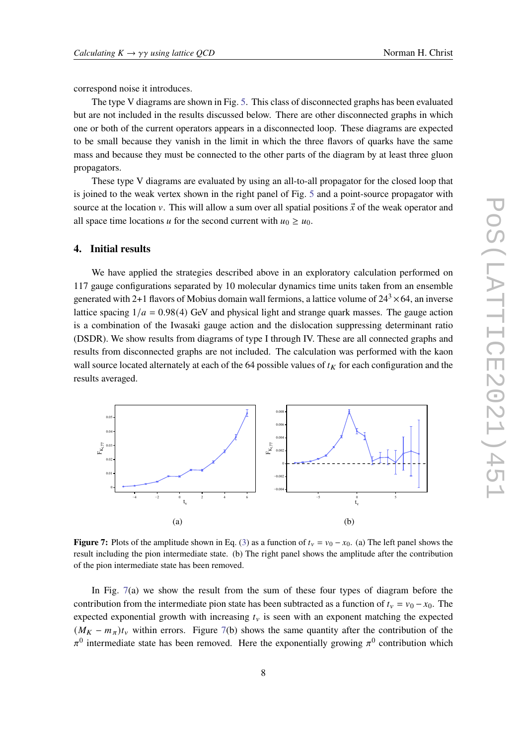correspond noise it introduces.

The type V diagrams are shown in Fig. [5.](#page-6-0) This class of disconnected graphs has been evaluated but are not included in the results discussed below. There are other disconnected graphs in which one or both of the current operators appears in a disconnected loop. These diagrams are expected to be small because they vanish in the limit in which the three flavors of quarks have the same mass and because they must be connected to the other parts of the diagram by at least three gluon propagators.

These type V diagrams are evaluated by using an all-to-all propagator for the closed loop that is joined to the weak vertex shown in the right panel of Fig. [5](#page-6-0) and a point-source propagator with source at the location v. This will allow a sum over all spatial positions  $\vec{x}$  of the weak operator and all space time locations u for the second current with  $u_0 \ge u_0$ .

# **4. Initial results**

We have applied the strategies described above in an exploratory calculation performed on 117 gauge configurations separated by 10 molecular dynamics time units taken from an ensemble generated with 2+1 flavors of Mobius domain wall fermions, a lattice volume of  $24<sup>3</sup> \times 64$ , an inverse lattice spacing  $1/a = 0.98(4)$  GeV and physical light and strange quark masses. The gauge action is a combination of the Iwasaki gauge action and the dislocation suppressing determinant ratio (DSDR). We show results from diagrams of type I through IV. These are all connected graphs and results from disconnected graphs are not included. The calculation was performed with the kaon wall source located alternately at each of the 64 possible values of  $t_K$  for each configuration and the results averaged.

<span id="page-7-0"></span>

**Figure 7:** Plots of the amplitude shown in Eq. [\(3](#page-2-1)) as a function of  $t_v = v_0 - x_0$ . (a) The left panel shows the result including the pion intermediate state. (b) The right panel shows the amplitude after the contribution of the pion intermediate state has been removed.

In Fig.  $7(a)$  $7(a)$  we show the result from the sum of these four types of diagram before the contribution from the intermediate pion state has been subtracted as a function of  $t<sub>v</sub> = v<sub>0</sub> - x<sub>0</sub>$ . The expected exponential growth with increasing  $t<sub>v</sub>$  is seen with an exponent matching the expected  $(M_K - m_\pi)t_\nu$  within errors. Figure [7\(](#page-7-0)b) shows the same quantity after the contribution of the  $\pi^0$  intermediate state has been removed. Here the exponentially growing  $\pi^0$  contribution which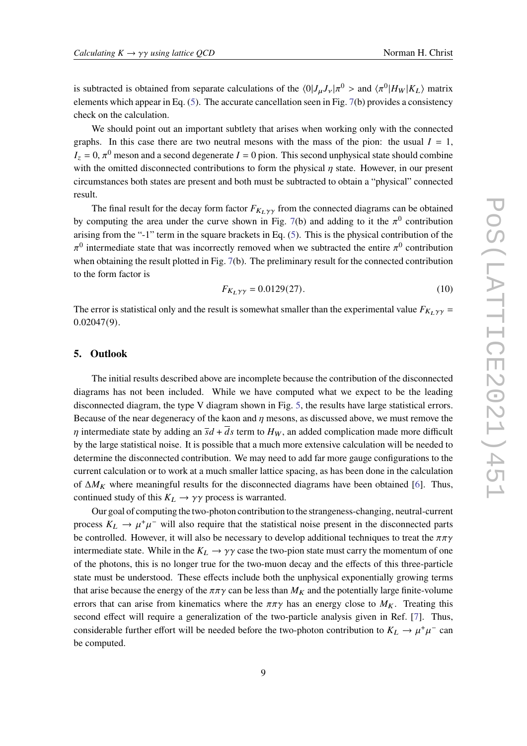is subtracted is obtained from separate calculations of the  $\langle 0|J_\mu J_\nu|\pi^0 >$  and  $\langle \pi^0|H_W|K_L\rangle$  matrix elements which appear in Eq. [\(5\)](#page-2-2). The accurate cancellation seen in Fig. [7](#page-7-0)(b) provides a consistency check on the calculation.

We should point out an important subtlety that arises when working only with the connected graphs. In this case there are two neutral mesons with the mass of the pion: the usual  $I = 1$ ,  $I_z = 0$ ,  $\pi^0$  meson and a second degenerate  $I = 0$  pion. This second unphysical state should combine with the omitted disconnected contributions to form the physical  $\eta$  state. However, in our present circumstances both states are present and both must be subtracted to obtain a "physical" connected result.

The final result for the decay form factor  $F_{K_L\gamma\gamma}$  from the connected diagrams can be obtained by computing the area under the curve shown in Fig. [7](#page-7-0)(b) and adding to it the  $\pi^0$  contribution arising from the "-1" term in the square brackets in Eq. ([5](#page-2-2)). This is the physical contribution of the  $\pi^0$  intermediate state that was incorrectly removed when we subtracted the entire  $\pi^0$  contribution when obtaining the result plotted in Fig. [7](#page-7-0)(b). The preliminary result for the connected contribution to the form factor is

$$
F_{K_L\gamma\gamma} = 0.0129(27). \tag{10}
$$

The error is statistical only and the result is somewhat smaller than the experimental value  $F_{K_L, \gamma \gamma}$  = 0*.*02047(9).

# **5. Outlook**

The initial results described above are incomplete because the contribution of the disconnected diagrams has not been included. While we have computed what we expect to be the leading disconnected diagram, the type V diagram shown in Fig. [5,](#page-6-0) the results have large statistical errors. Because of the near degeneracy of the kaon and  $\eta$  mesons, as discussed above, we must remove the  $\eta$  intermediate state by adding an  $\overline{s}d + \overline{d}s$  term to  $H_W$ , an added complication made more difficult by the large statistical noise. It is possible that a much more extensive calculation will be needed to determine the disconnected contribution. We may need to add far more gauge configurations to the current calculation or to work at a much smaller lattice spacing, as has been done in the calculation of  $\Delta M_K$  where meaningful results for the disconnected diagrams have been obtained [[6](#page-9-5)]. Thus, continued study of this  $K_L \rightarrow \gamma \gamma$  process is warranted.

Our goal of computing the two-photon contribution to the strangeness-changing, neutral-current process  $K_L \to \mu^+\mu^-$  will also require that the statistical noise present in the disconnected parts be controlled. However, it will also be necessary to develop additional techniques to treat the  $\pi\pi\gamma$ intermediate state. While in the  $K_L \rightarrow \gamma \gamma$  case the two-pion state must carry the momentum of one of the photons, this is no longer true for the two-muon decay and the effects of this three-particle state must be understood. These effects include both the unphysical exponentially growing terms that arise because the energy of the  $\pi \pi \gamma$  can be less than  $M_K$  and the potentially large finite-volume errors that can arise from kinematics where the  $\pi \pi \gamma$  has an energy close to  $M_K$ . Treating this second effect will require a generalization of the two-particle analysis given in Ref. [[7](#page-9-6)]. Thus, considerable further effort will be needed before the two-photon contribution to  $K_L \to \mu^+\mu^-$  can be computed.